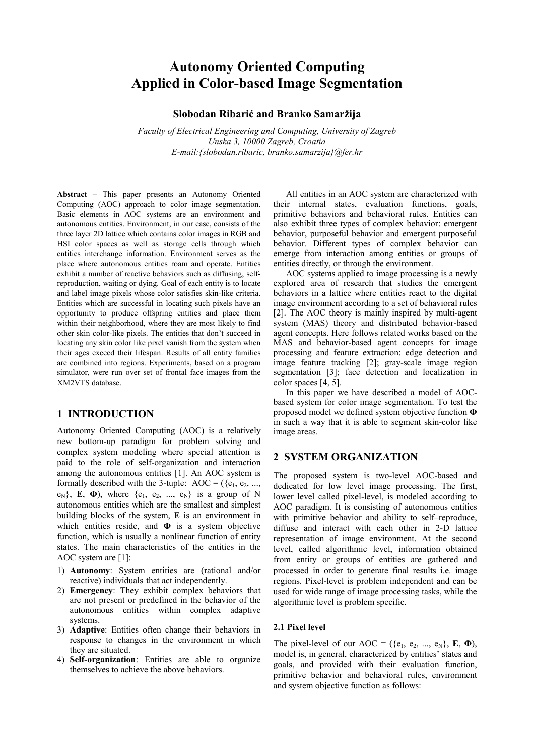# Autonomy Oriented Computing Applied in Color-based Image Segmentation

Slobodan Ribarić and Branko Samaržija

Faculty of Electrical Engineering and Computing, University of Zagreb Unska 3, 10000 Zagreb, Croatia E-mail:{slobodan.ribaric, branko.samarzija}@fer.hr

Abstract – This paper presents an Autonomy Oriented Computing (AOC) approach to color image segmentation. Basic elements in AOC systems are an environment and autonomous entities. Environment, in our case, consists of the three layer 2D lattice which contains color images in RGB and HSI color spaces as well as storage cells through which entities interchange information. Environment serves as the place where autonomous entities roam and operate. Entities exhibit a number of reactive behaviors such as diffusing, selfreproduction, waiting or dying. Goal of each entity is to locate and label image pixels whose color satisfies skin-like criteria. Entities which are successful in locating such pixels have an opportunity to produce offspring entities and place them within their neighborhood, where they are most likely to find other skin color-like pixels. The entities that don't succeed in locating any skin color like pixel vanish from the system when their ages exceed their lifespan. Results of all entity families are combined into regions. Experiments, based on a program simulator, were run over set of frontal face images from the XM2VTS database.

# 1 INTRODUCTION

Autonomy Oriented Computing (AOC) is a relatively new bottom-up paradigm for problem solving and complex system modeling where special attention is paid to the role of self-organization and interaction among the autonomous entities [1]. An AOC system is formally described with the 3-tuple: AOC =  $({e_1, e_2, ...,}$  $e_N$ }, E,  $\Phi$ ), where  $\{e_1, e_2, ..., e_N\}$  is a group of N autonomous entities which are the smallest and simplest building blocks of the system, E is an environment in which entities reside, and  $\Phi$  is a system objective function, which is usually a nonlinear function of entity states. The main characteristics of the entities in the AOC system are [1]:

- 1) Autonomy: System entities are (rational and/or reactive) individuals that act independently.
- 2) Emergency: They exhibit complex behaviors that are not present or predefined in the behavior of the autonomous entities within complex adaptive systems.
- 3) Adaptive: Entities often change their behaviors in response to changes in the environment in which they are situated.
- 4) Self-organization: Entities are able to organize themselves to achieve the above behaviors.

 All entities in an AOC system are characterized with their internal states, evaluation functions, goals, primitive behaviors and behavioral rules. Entities can also exhibit three types of complex behavior: emergent behavior, purposeful behavior and emergent purposeful behavior. Different types of complex behavior can emerge from interaction among entities or groups of entities directly, or through the environment.

 AOC systems applied to image processing is a newly explored area of research that studies the emergent behaviors in a lattice where entities react to the digital image environment according to a set of behavioral rules [2]. The AOC theory is mainly inspired by multi-agent system (MAS) theory and distributed behavior-based agent concepts. Here follows related works based on the MAS and behavior-based agent concepts for image processing and feature extraction: edge detection and image feature tracking [2]; gray-scale image region segmentation [3]; face detection and localization in color spaces [4, 5].

 In this paper we have described a model of AOCbased system for color image segmentation. To test the proposed model we defined system objective function Φ in such a way that it is able to segment skin-color like image areas.

# 2 SYSTEM ORGANIZATION

The proposed system is two-level AOC-based and dedicated for low level image processing. The first, lower level called pixel-level, is modeled according to AOC paradigm. It is consisting of autonomous entities with primitive behavior and ability to self–reproduce, diffuse and interact with each other in 2-D lattice representation of image environment. At the second level, called algorithmic level, information obtained from entity or groups of entities are gathered and processed in order to generate final results i.e. image regions. Pixel-level is problem independent and can be used for wide range of image processing tasks, while the algorithmic level is problem specific.

#### 2.1 Pixel level

The pixel-level of our AOC =  $({e_1, e_2, ..., e_N}, E, \Phi)$ , model is, in general, characterized by entities' states and goals, and provided with their evaluation function, primitive behavior and behavioral rules, environment and system objective function as follows: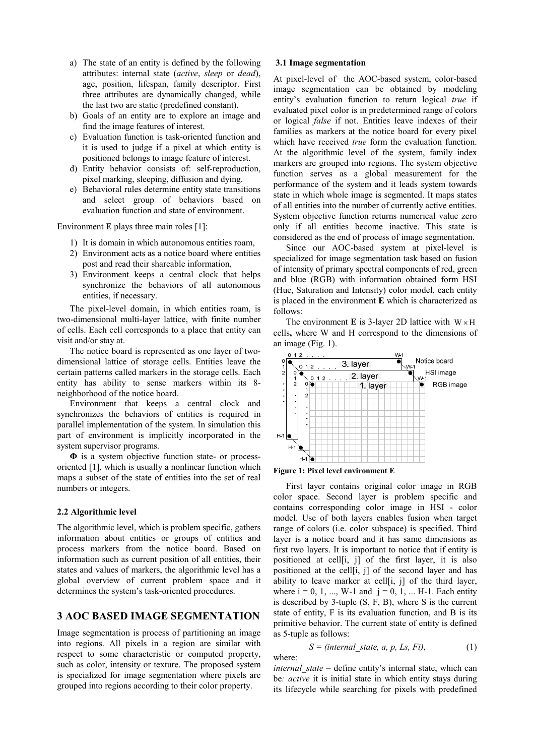- a) The state of an entity is defined by the following attributes: internal state (active, sleep or dead), age, position, lifespan, family descriptor. First three attributes are dynamically changed, while the last two are static (predefined constant).
- b) Goals of an entity are to explore an image and find the image features of interest.
- c) Evaluation function is task-oriented function and it is used to judge if a pixel at which entity is positioned belongs to image feature of interest.
- d) Entity behavior consists of: self-reproduction, pixel marking, sleeping, diffusion and dying.
- e) Behavioral rules determine entity state transitions and select group of behaviors based on evaluation function and state of environment.

Environment **E** plays three main roles [1]:

- 1) It is domain in which autonomous entities roam,
- 2) Environment acts as a notice board where entities post and read their shareable information,
- 3) Environment keeps a central clock that helps synchronize the behaviors of all autonomous entities, if necessary.

 The pixel-level domain, in which entities roam, is two-dimensional multi-layer lattice, with finite number of cells. Each cell corresponds to a place that entity can visit and/or stay at.

 The notice board is represented as one layer of twodimensional lattice of storage cells. Entities leave the certain patterns called markers in the storage cells. Each entity has ability to sense markers within its 8 neighborhood of the notice board.

 Environment that keeps a central clock and synchronizes the behaviors of entities is required in parallel implementation of the system. In simulation this part of environment is implicitly incorporated in the system supervisor programs.

Φ is a system objective function state- or processoriented [1], which is usually a nonlinear function which maps a subset of the state of entities into the set of real numbers or integers.

#### 2.2 Algorithmic level

The algorithmic level, which is problem specific, gathers information about entities or groups of entities and process markers from the notice board. Based on information such as current position of all entities, their states and values of markers, the algorithmic level has a global overview of current problem space and it determines the system's task-oriented procedures.

## 3 AOC BASED IMAGE SEGMENTATION

Image segmentation is process of partitioning an image into regions. All pixels in a region are similar with respect to some characteristic or computed property, such as color, intensity or texture. The proposed system is specialized for image segmentation where pixels are grouped into regions according to their color property.

#### 3.1 Image segmentation

At pixel-level of the AOC-based system, color-based image segmentation can be obtained by modeling entity's evaluation function to return logical *true* if evaluated pixel color is in predetermined range of colors or logical false if not. Entities leave indexes of their families as markers at the notice board for every pixel which have received *true* form the evaluation function. At the algorithmic level of the system, family index markers are grouped into regions. The system objective function serves as a global measurement for the performance of the system and it leads system towards state in which whole image is segmented. It maps states of all entities into the number of currently active entities. System objective function returns numerical value zero only if all entities become inactive. This state is considered as the end of process of image segmentation.

 Since our AOC-based system at pixel-level is specialized for image segmentation task based on fusion of intensity of primary spectral components of red, green and blue (RGB) with information obtained form HSI (Hue, Saturation and Intensity) color model, each entity is placed in the environment E which is characterized as follows:

The environment **E** is 3-layer 2D lattice with  $W \times H$ cells, where W and H correspond to the dimensions of an image (Fig. 1).



Figure 1: Pixel level environment E

 First layer contains original color image in RGB color space. Second layer is problem specific and contains corresponding color image in HSI - color model. Use of both layers enables fusion when target range of colors (i.e. color subspace) is specified. Third layer is a notice board and it has same dimensions as first two layers. It is important to notice that if entity is positioned at cell[i, j] of the first layer, it is also positioned at the cell[i, j] of the second layer and has ability to leave marker at cell[i, j] of the third layer, where  $i = 0, 1, ..., W-1$  and  $j = 0, 1, ... H-1$ . Each entity is described by 3-tuple (S, F, B), where S is the current state of entity, F is its evaluation function, and B is its primitive behavior. The current state of entity is defined as 5-tuple as follows:

$$
S = (internal\_state, a, p, Ls, Fi),
$$
 (1) where:

 $internal\ state - define\ entity's internal state, which can$ be: *active* it is initial state in which entity stays during its lifecycle while searching for pixels with predefined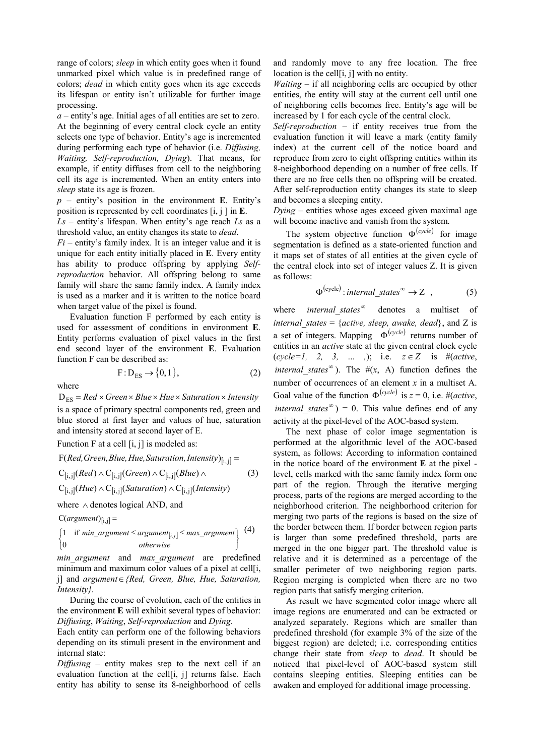range of colors; *sleep* in which entity goes when it found unmarked pixel which value is in predefined range of colors; dead in which entity goes when its age exceeds its lifespan or entity isn't utilizable for further image processing.

 $a$  – entity's age. Initial ages of all entities are set to zero. At the beginning of every central clock cycle an entity selects one type of behavior. Entity's age is incremented during performing each type of behavior (i.e. *Diffusing*, Waiting, Self-reproduction, Dying). That means, for example, if entity diffuses from cell to the neighboring cell its age is incremented. When an entity enters into sleep state its age is frozen.

 $p$  – entity's position in the environment E. Entity's position is represented by cell coordinates  $[i, j]$  in E.

 $Ls$  – entity's lifespan. When entity's age reach  $Ls$  as a threshold value, an entity changes its state to dead.

 $Fi$  – entity's family index. It is an integer value and it is unique for each entity initially placed in E. Every entity has ability to produce offspring by applying Selfreproduction behavior. All offspring belong to same family will share the same family index. A family index is used as a marker and it is written to the notice board when target value of the pixel is found.

 Evaluation function F performed by each entity is used for assessment of conditions in environment E. Entity performs evaluation of pixel values in the first end second layer of the environment E. Evaluation function F can be described as:

$$
F: D_{ES} \to \{0, 1\},\tag{2}
$$

where

 $D_{ES}$  = Red × Green × Blue × Hue × Saturation × Intensity is a space of primary spectral components red, green and blue stored at first layer and values of hue, saturation and intensity stored at second layer of E.

Function F at a cell [i, j] is modeled as:

$$
F(\text{Red}, \text{Green}, \text{Blue}, \text{Hue}, \text{Saturation}, \text{Intensity})_{[i,j]} =
$$
\n
$$
C_{[i,j]}(\text{Red}) \wedge C_{[i,j]}(\text{Green}) \wedge C_{[i,j]}(\text{Blue}) \wedge \qquad (3)
$$
\n
$$
C_{[i,j]}(\text{Hue}) \wedge C_{[i,j]}(\text{Saturation}) \wedge C_{[i,j]}(\text{Intensity})
$$

where ∧ denotes logical AND, and

 $C(argument)_{[i,j]} =$ 

$$
\begin{cases} 1 & \text{if } min\_argument \le argument_{[i,j]} \le max\_argument \\ 0 & otherwise \end{cases} \qquad (4)
$$

min argument and max argument are predefined minimum and maximum color values of a pixel at cell<sup>[j]</sup>, j] and argument∈{Red, Green, Blue, Hue, Saturation, Intensity}.

 During the course of evolution, each of the entities in the environment E will exhibit several types of behavior: Diffusing, Waiting, Self-reproduction and Dying.

Each entity can perform one of the following behaviors depending on its stimuli present in the environment and internal state:

 $Diffusing -$  entity makes step to the next cell if an evaluation function at the cell<sup>[j]</sup>, i] returns false. Each entity has ability to sense its 8-neighborhood of cells and randomly move to any free location. The free location is the cell[i, j] with no entity.

*Waiting*  $-$  if all neighboring cells are occupied by other entities, the entity will stay at the current cell until one of neighboring cells becomes free. Entity's age will be increased by 1 for each cycle of the central clock.

Self-reproduction  $-$  if entity receives true from the evaluation function it will leave a mark (entity family index) at the current cell of the notice board and reproduce from zero to eight offspring entities within its 8-neighborhood depending on a number of free cells. If there are no free cells then no offspring will be created. After self-reproduction entity changes its state to sleep and becomes a sleeping entity.

Dying – entities whose ages exceed given maximal age will become inactive and vanish from the system.

The system objective function  $\Phi^{(cycle)}$  for image segmentation is defined as a state-oriented function and it maps set of states of all entities at the given cycle of the central clock into set of integer values Z. It is given as follows:

$$
\Phi^{(cycle)}: internal\_states^{\infty} \to Z \quad , \tag{5}
$$

where *internal* states<sup> $\infty$ </sup> denotes a multiset of internal states = {active, sleep, awake, dead}, and Z is a set of integers. Mapping  $\Phi^{(cycle)}$  returns number of entities in an active state at the given central clock cycle  $(cycle=1, 2, 3, ...), i.e.  $z \in Z$  is  $\#(active, z)$$ *internal\_states*<sup>∞</sup>). The  $\#(x, A)$  function defines the number of occurrences of an element  $x$  in a multiset A. Goal value of the function  $\Phi^{(cycle)}$  is  $z = 0$ , i.e. #(*active*, *internal\_states*<sup> $\infty$ </sup>) = 0. This value defines end of any activity at the pixel-level of the AOC-based system.

 The next phase of color image segmentation is performed at the algorithmic level of the AOC-based system, as follows: According to information contained in the notice board of the environment E at the pixel level, cells marked with the same family index form one part of the region. Through the iterative merging process, parts of the regions are merged according to the neighborhood criterion. The neighborhood criterion for merging two parts of the regions is based on the size of the border between them. If border between region parts is larger than some predefined threshold, parts are merged in the one bigger part. The threshold value is relative and it is determined as a percentage of the smaller perimeter of two neighboring region parts. Region merging is completed when there are no two region parts that satisfy merging criterion.

 As result we have segmented color image where all image regions are enumerated and can be extracted or analyzed separately. Regions which are smaller than predefined threshold (for example 3% of the size of the biggest region) are deleted; i.e. corresponding entities change their state from sleep to dead. It should be noticed that pixel-level of AOC-based system still contains sleeping entities. Sleeping entities can be awaken and employed for additional image processing.